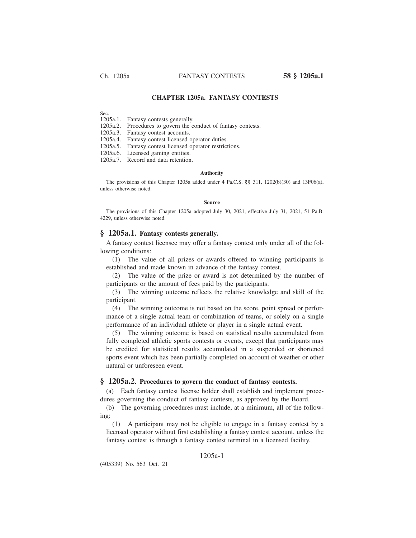# **CHAPTER 1205a. FANTASY CONTESTS**

Sec.

1205a.1. Fantasy contests generally.

1205a.2. Procedures to govern the conduct of fantasy contests.

1205a.3. Fantasy contest accounts.

1205a.4. Fantasy contest licensed operator duties.

1205a.5. Fantasy contest licensed operator restrictions.

1205a.6. Licensed gaming entities.

1205a.7. Record and data retention.

#### **Authority**

The provisions of this Chapter 1205a added under 4 Pa.C.S. §§ 311, 1202(b)(30) and 13F06(a), unless otherwise noted.

#### **Source**

The provisions of this Chapter 1205a adopted July 30, 2021, effective July 31, 2021, 51 Pa.B. 4229, unless otherwise noted.

## **§ 1205a.1. Fantasy contests generally.**

A fantasy contest licensee may offer a fantasy contest only under all of the following conditions:

(1) The value of all prizes or awards offered to winning participants is established and made known in advance of the fantasy contest.

(2) The value of the prize or award is not determined by the number of participants or the amount of fees paid by the participants.

(3) The winning outcome reflects the relative knowledge and skill of the participant.

(4) The winning outcome is not based on the score, point spread or performance of a single actual team or combination of teams, or solely on a single performance of an individual athlete or player in a single actual event.

(5) The winning outcome is based on statistical results accumulated from fully completed athletic sports contests or events, except that participants may be credited for statistical results accumulated in a suspended or shortened sports event which has been partially completed on account of weather or other natural or unforeseen event.

### **§ 1205a.2. Procedures to govern the conduct of fantasy contests.**

(a) Each fantasy contest license holder shall establish and implement procedures governing the conduct of fantasy contests, as approved by the Board.

(b) The governing procedures must include, at a minimum, all of the following:

(1) A participant may not be eligible to engage in a fantasy contest by a licensed operator without first establishing a fantasy contest account, unless the fantasy contest is through a fantasy contest terminal in a licensed facility.

# 1205a-1

(405339) No. 563 Oct. 21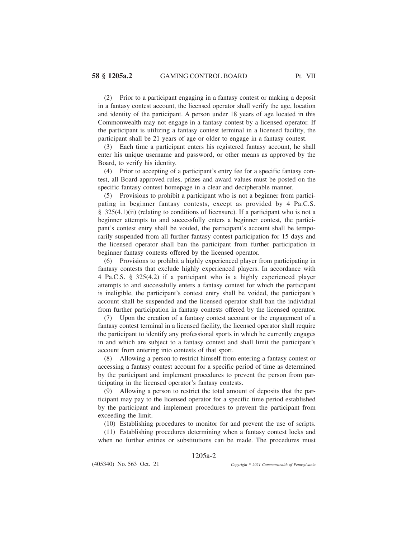(2) Prior to a participant engaging in a fantasy contest or making a deposit in a fantasy contest account, the licensed operator shall verify the age, location and identity of the participant. A person under 18 years of age located in this Commonwealth may not engage in a fantasy contest by a licensed operator. If the participant is utilizing a fantasy contest terminal in a licensed facility, the participant shall be 21 years of age or older to engage in a fantasy contest.

(3) Each time a participant enters his registered fantasy account, he shall enter his unique username and password, or other means as approved by the Board, to verify his identity.

(4) Prior to accepting of a participant's entry fee for a specific fantasy contest, all Board-approved rules, prizes and award values must be posted on the specific fantasy contest homepage in a clear and decipherable manner.

(5) Provisions to prohibit a participant who is not a beginner from participating in beginner fantasy contests, except as provided by 4 Pa.C.S. § 325(4.1)(ii) (relating to conditions of licensure). If a participant who is not a beginner attempts to and successfully enters a beginner contest, the participant's contest entry shall be voided, the participant's account shall be temporarily suspended from all further fantasy contest participation for 15 days and the licensed operator shall ban the participant from further participation in beginner fantasy contests offered by the licensed operator.

(6) Provisions to prohibit a highly experienced player from participating in fantasy contests that exclude highly experienced players. In accordance with 4 Pa.C.S. § 325(4.2) if a participant who is a highly experienced player attempts to and successfully enters a fantasy contest for which the participant is ineligible, the participant's contest entry shall be voided, the participant's account shall be suspended and the licensed operator shall ban the individual from further participation in fantasy contests offered by the licensed operator.

(7) Upon the creation of a fantasy contest account or the engagement of a fantasy contest terminal in a licensed facility, the licensed operator shall require the participant to identify any professional sports in which he currently engages in and which are subject to a fantasy contest and shall limit the participant's account from entering into contests of that sport.

(8) Allowing a person to restrict himself from entering a fantasy contest or accessing a fantasy contest account for a specific period of time as determined by the participant and implement procedures to prevent the person from participating in the licensed operator's fantasy contests.

(9) Allowing a person to restrict the total amount of deposits that the participant may pay to the licensed operator for a specific time period established by the participant and implement procedures to prevent the participant from exceeding the limit.

(10) Establishing procedures to monitor for and prevent the use of scripts.

(11) Establishing procedures determining when a fantasy contest locks and when no further entries or substitutions can be made. The procedures must

## 1205a-2

*2021 Commonwealth of Pennsylvania*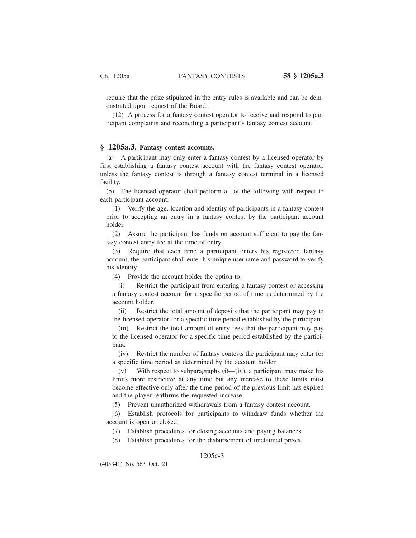require that the prize stipulated in the entry rules is available and can be demonstrated upon request of the Board.

(12) A process for a fantasy contest operator to receive and respond to participant complaints and reconciling a participant's fantasy contest account.

# **§ 1205a.3. Fantasy contest accounts.**

(a) A participant may only enter a fantasy contest by a licensed operator by first establishing a fantasy contest account with the fantasy contest operator, unless the fantasy contest is through a fantasy contest terminal in a licensed facility.

(b) The licensed operator shall perform all of the following with respect to each participant account:

(1) Verify the age, location and identity of participants in a fantasy contest prior to accepting an entry in a fantasy contest by the participant account holder.

(2) Assure the participant has funds on account sufficient to pay the fantasy contest entry fee at the time of entry.

(3) Require that each time a participant enters his registered fantasy account, the participant shall enter his unique username and password to verify his identity.

(4) Provide the account holder the option to:

(i) Restrict the participant from entering a fantasy contest or accessing a fantasy contest account for a specific period of time as determined by the account holder.

(ii) Restrict the total amount of deposits that the participant may pay to the licensed operator for a specific time period established by the participant.

(iii) Restrict the total amount of entry fees that the participant may pay to the licensed operator for a specific time period established by the participant.

(iv) Restrict the number of fantasy contests the participant may enter for a specific time period as determined by the account holder.

(v) With respect to subparagraphs  $(i)$ — $(iv)$ , a participant may make his limits more restrictive at any time but any increase to these limits must become effective only after the time-period of the previous limit has expired and the player reaffirms the requested increase.

(5) Prevent unauthorized withdrawals from a fantasy contest account.

(6) Establish protocols for participants to withdraw funds whether the account is open or closed.

(7) Establish procedures for closing accounts and paying balances.

(8) Establish procedures for the disbursement of unclaimed prizes.

# 1205a-3

(405341) No. 563 Oct. 21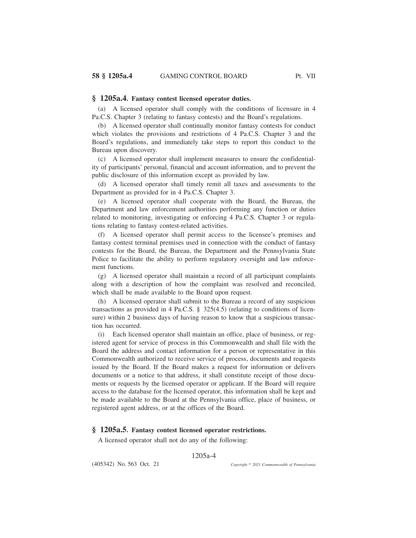### **§ 1205a.4. Fantasy contest licensed operator duties.**

(a) A licensed operator shall comply with the conditions of licensure in 4 Pa.C.S. Chapter 3 (relating to fantasy contests) and the Board's regulations.

(b) A licensed operator shall continually monitor fantasy contests for conduct which violates the provisions and restrictions of 4 Pa.C.S. Chapter 3 and the Board's regulations, and immediately take steps to report this conduct to the Bureau upon discovery.

(c) A licensed operator shall implement measures to ensure the confidentiality of participants' personal, financial and account information, and to prevent the public disclosure of this information except as provided by law.

(d) A licensed operator shall timely remit all taxes and assessments to the Department as provided for in 4 Pa.C.S. Chapter 3.

(e) A licensed operator shall cooperate with the Board, the Bureau, the Department and law enforcement authorities performing any function or duties related to monitoring, investigating or enforcing 4 Pa.C.S. Chapter 3 or regulations relating to fantasy contest-related activities.

(f) A licensed operator shall permit access to the licensee's premises and fantasy contest terminal premises used in connection with the conduct of fantasy contests for the Board, the Bureau, the Department and the Pennsylvania State Police to facilitate the ability to perform regulatory oversight and law enforcement functions.

(g) A licensed operator shall maintain a record of all participant complaints along with a description of how the complaint was resolved and reconciled, which shall be made available to the Board upon request.

(h) A licensed operator shall submit to the Bureau a record of any suspicious transactions as provided in 4 Pa.C.S. § 325(4.5) (relating to conditions of licensure) within 2 business days of having reason to know that a suspicious transaction has occurred.

(i) Each licensed operator shall maintain an office, place of business, or registered agent for service of process in this Commonwealth and shall file with the Board the address and contact information for a person or representative in this Commonwealth authorized to receive service of process, documents and requests issued by the Board. If the Board makes a request for information or delivers documents or a notice to that address, it shall constitute receipt of those documents or requests by the licensed operator or applicant. If the Board will require access to the database for the licensed operator, this information shall be kept and be made available to the Board at the Pennsylvania office, place of business, or registered agent address, or at the offices of the Board.

### **§ 1205a.5. Fantasy contest licensed operator restrictions.**

A licensed operator shall not do any of the following:

### 1205a-4

(405342) No. 563 Oct. 21

*2021 Commonwealth of Pennsylvania*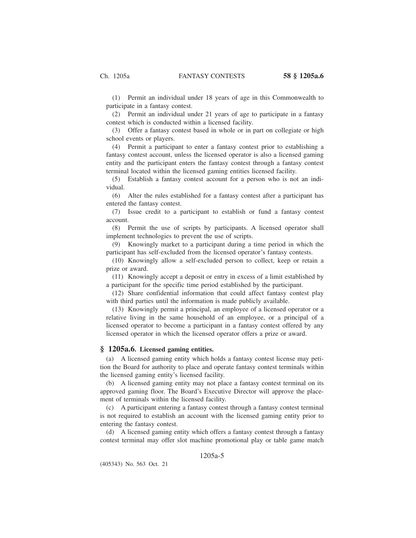(1) Permit an individual under 18 years of age in this Commonwealth to participate in a fantasy contest.

(2) Permit an individual under 21 years of age to participate in a fantasy contest which is conducted within a licensed facility.

(3) Offer a fantasy contest based in whole or in part on collegiate or high school events or players.

(4) Permit a participant to enter a fantasy contest prior to establishing a fantasy contest account, unless the licensed operator is also a licensed gaming entity and the participant enters the fantasy contest through a fantasy contest terminal located within the licensed gaming entities licensed facility.

(5) Establish a fantasy contest account for a person who is not an individual.

(6) Alter the rules established for a fantasy contest after a participant has entered the fantasy contest.

(7) Issue credit to a participant to establish or fund a fantasy contest account.

(8) Permit the use of scripts by participants. A licensed operator shall implement technologies to prevent the use of scripts.

(9) Knowingly market to a participant during a time period in which the participant has self-excluded from the licensed operator's fantasy contests.

(10) Knowingly allow a self-excluded person to collect, keep or retain a prize or award.

(11) Knowingly accept a deposit or entry in excess of a limit established by a participant for the specific time period established by the participant.

(12) Share confidential information that could affect fantasy contest play with third parties until the information is made publicly available.

(13) Knowingly permit a principal, an employee of a licensed operator or a relative living in the same household of an employee, or a principal of a licensed operator to become a participant in a fantasy contest offered by any licensed operator in which the licensed operator offers a prize or award.

### **§ 1205a.6. Licensed gaming entities.**

(a) A licensed gaming entity which holds a fantasy contest license may petition the Board for authority to place and operate fantasy contest terminals within the licensed gaming entity's licensed facility.

(b) A licensed gaming entity may not place a fantasy contest terminal on its approved gaming floor. The Board's Executive Director will approve the placement of terminals within the licensed facility.

(c) A participant entering a fantasy contest through a fantasy contest terminal is not required to establish an account with the licensed gaming entity prior to entering the fantasy contest.

(d) A licensed gaming entity which offers a fantasy contest through a fantasy contest terminal may offer slot machine promotional play or table game match

# 1205a-5

(405343) No. 563 Oct. 21